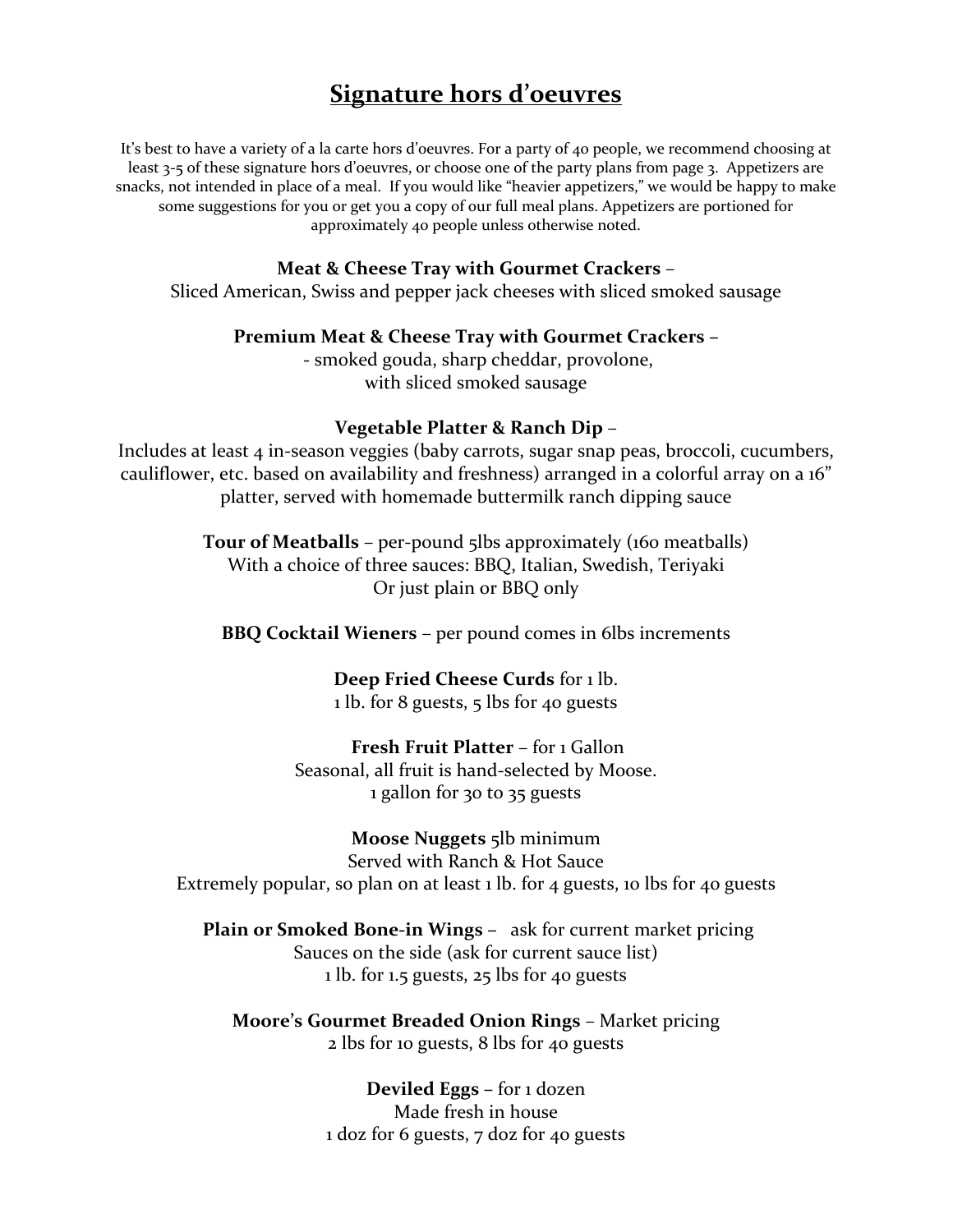# **Signature hors d'oeuvres**

It's best to have a variety of a la carte hors d'oeuvres. For a party of 40 people, we recommend choosing at least 3-5 of these signature hors d'oeuvres, or choose one of the party plans from page 3. Appetizers are snacks, not intended in place of a meal. If you would like "heavier appetizers," we would be happy to make some suggestions for you or get you a copy of our full meal plans. Appetizers are portioned for approximately 40 people unless otherwise noted.

#### **Meat & Cheese Tray with Gourmet Crackers** –

Sliced American, Swiss and pepper jack cheeses with sliced smoked sausage

#### **Premium Meat & Cheese Tray with Gourmet Crackers –**

- smoked gouda, sharp cheddar, provolone, with sliced smoked sausage

#### **Vegetable Platter & Ranch Dip** –

Includes at least 4 in-season veggies (baby carrots, sugar snap peas, broccoli, cucumbers, cauliflower, etc. based on availability and freshness) arranged in a colorful array on a 16" platter, served with homemade buttermilk ranch dipping sauce

> **Tour of Meatballs** – per-pound 5lbs approximately (160 meatballs) With a choice of three sauces: BBQ, Italian, Swedish, Teriyaki Or just plain or BBQ only

**BBQ Cocktail Wieners** – per pound comes in 6lbs increments

**Deep Fried Cheese Curds** for 1 lb. 1 lb. for 8 guests, 5 lbs for 40 guests

 **Fresh Fruit Platter** – for 1 Gallon Seasonal, all fruit is hand-selected by Moose. 1 gallon for 30 to 35 guests

**Moose Nuggets** 5lb minimum Served with Ranch & Hot Sauce Extremely popular, so plan on at least 1 lb. for 4 guests, 10 lbs for 40 guests

**Plain or Smoked Bone-in Wings –** ask for current market pricing Sauces on the side (ask for current sauce list) 1 lb. for 1.5 guests, 25 lbs for 40 guests

**Moore's Gourmet Breaded Onion Rings** – Market pricing 2 lbs for 10 guests, 8 lbs for 40 guests

> **Deviled Eggs –** for 1 dozen Made fresh in house 1 doz for 6 guests, 7 doz for 40 guests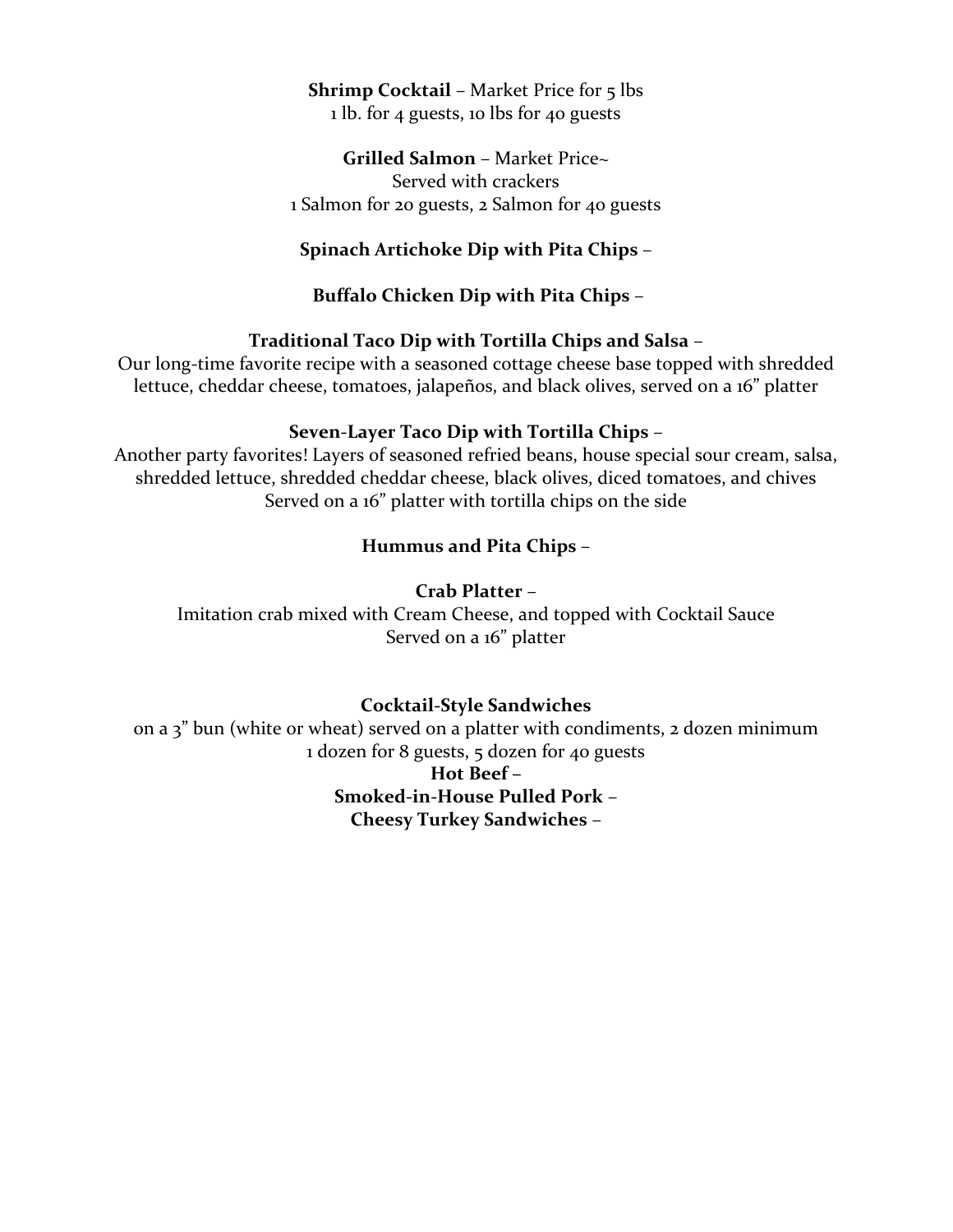# **Shrimp Cocktail** – Market Price for 5 lbs

1 lb. for 4 guests, 10 lbs for 40 guests

**Grilled Salmon** – Market Price~ Served with crackers 1 Salmon for 20 guests, 2 Salmon for 40 guests

### **Spinach Artichoke Dip with Pita Chips** –

#### **Buffalo Chicken Dip with Pita Chips** –

#### **Traditional Taco Dip with Tortilla Chips and Salsa** –

Our long-time favorite recipe with a seasoned cottage cheese base topped with shredded lettuce, cheddar cheese, tomatoes, jalapeños, and black olives, served on a 16" platter

#### **Seven-Layer Taco Dip with Tortilla Chips** –

Another party favorites! Layers of seasoned refried beans, house special sour cream, salsa, shredded lettuce, shredded cheddar cheese, black olives, diced tomatoes, and chives Served on a 16" platter with tortilla chips on the side

### **Hummus and Pita Chips** –

#### **Crab Platter** –

Imitation crab mixed with Cream Cheese, and topped with Cocktail Sauce Served on a 16" platter

### **Cocktail-Style Sandwiches**

on a 3" bun (white or wheat) served on a platter with condiments, 2 dozen minimum 1 dozen for 8 guests, 5 dozen for 40 guests

# **Hot Beef – Smoked-in-House Pulled Pork** – **Cheesy Turkey Sandwiches** –